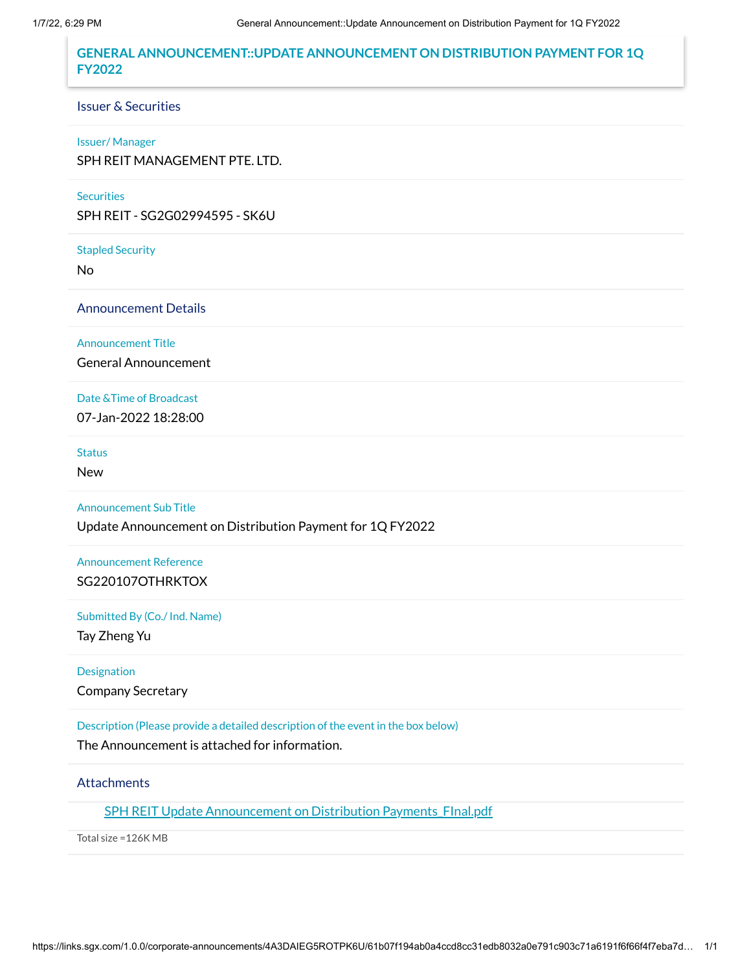## **GENERAL ANNOUNCEMENT::UPDATE ANNOUNCEMENT ON DISTRIBUTION PAYMENT FOR 1Q FY2022**

#### Issuer & Securities

#### Issuer/ Manager

SPH REIT MANAGEMENT PTE. LTD.

## **Securities**

SPH REIT - SG2G02994595 - SK6U

Stapled Security

No

Announcement Details

Announcement Title

General Announcement

Date &Time of Broadcast 07-Jan-2022 18:28:00

#### **Status**

New

Announcement Sub Title

Update Announcement on Distribution Payment for 1Q FY2022

Announcement Reference SG220107OTHRKTOX

Submitted By (Co./ Ind. Name)

Tay Zheng Yu

Designation

Company Secretary

Description (Please provide a detailed description of the event in the box below)

The Announcement is attached for information.

## **Attachments**

SPH REIT Update Announcement on Distribution Payments FInal.pdf

Total size =126K MB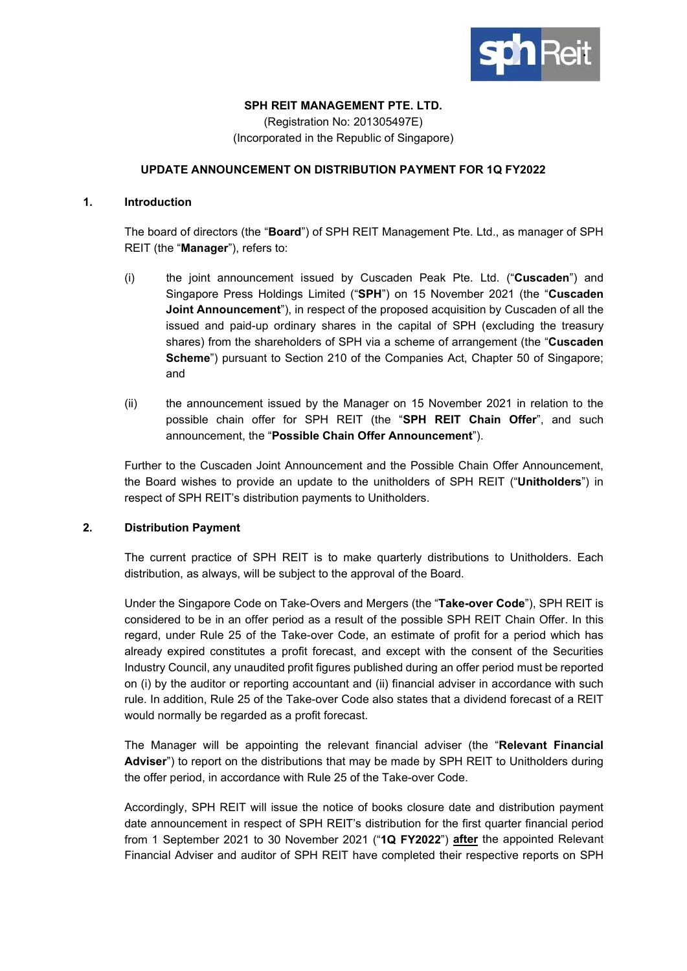

## **SPH REIT MANAGEMENT PTE. LTD.**

(Registration No: 201305497E) (Incorporated in the Republic of Singapore)

# **UPDATE ANNOUNCEMENT ON DISTRIBUTION PAYMENT FOR 1Q FY2022**

## **1. Introduction**

The board of directors (the "**Board**") of SPH REIT Management Pte. Ltd., as manager of SPH REIT (the "**Manager**"), refers to:

- (i) the joint announcement issued by Cuscaden Peak Pte. Ltd. ("**Cuscaden**") and Singapore Press Holdings Limited ("**SPH**") on 15 November 2021 (the "**Cuscaden Joint Announcement**"), in respect of the proposed acquisition by Cuscaden of all the issued and paid-up ordinary shares in the capital of SPH (excluding the treasury shares) from the shareholders of SPH via a scheme of arrangement (the "**Cuscaden Scheme**") pursuant to Section 210 of the Companies Act, Chapter 50 of Singapore; and
- (ii) the announcement issued by the Manager on 15 November 2021 in relation to the possible chain offer for SPH REIT (the "**SPH REIT Chain Offer**", and such announcement, the "**Possible Chain Offer Announcement**").

Further to the Cuscaden Joint Announcement and the Possible Chain Offer Announcement, the Board wishes to provide an update to the unitholders of SPH REIT ("**Unitholders**") in respect of SPH REIT's distribution payments to Unitholders.

## **2. Distribution Payment**

The current practice of SPH REIT is to make quarterly distributions to Unitholders. Each distribution, as always, will be subject to the approval of the Board.

Under the Singapore Code on Take-Overs and Mergers (the "**Take-over Code**"), SPH REIT is considered to be in an offer period as a result of the possible SPH REIT Chain Offer. In this regard, under Rule 25 of the Take-over Code, an estimate of profit for a period which has already expired constitutes a profit forecast, and except with the consent of the Securities Industry Council, any unaudited profit figures published during an offer period must be reported on (i) by the auditor or reporting accountant and (ii) financial adviser in accordance with such rule. In addition, Rule 25 of the Take-over Code also states that a dividend forecast of a REIT would normally be regarded as a profit forecast.

The Manager will be appointing the relevant financial adviser (the "**Relevant Financial Adviser**") to report on the distributions that may be made by SPH REIT to Unitholders during the offer period, in accordance with Rule 25 of the Take-over Code.

Accordingly, SPH REIT will issue the notice of books closure date and distribution payment date announcement in respect of SPH REIT's distribution for the first quarter financial period from 1 September 2021 to 30 November 2021 ("**1Q FY2022**") **after** the appointed Relevant Financial Adviser and auditor of SPH REIT have completed their respective reports on SPH